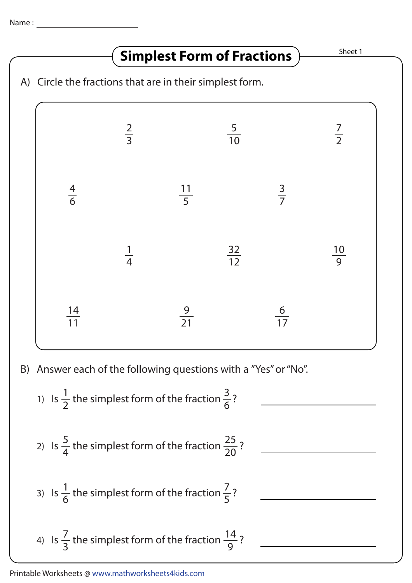## **Simplest Form of Fractions** MELISTER

A) Circle the fractions that are in their simplest form. B) Answer each of the following questions with a "Yes" or "No". 

1) Is 
$$
\frac{1}{2}
$$
 the simplest form of the fraction  $\frac{3}{6}$ ?  
\n2) Is  $\frac{5}{4}$  the simplest form of the fraction  $\frac{25}{20}$ ?  
\n3) Is  $\frac{1}{6}$  the simplest form of the fraction  $\frac{7}{5}$ ?  
\n4) Is  $\frac{7}{3}$  the simplest form of the fraction  $\frac{14}{9}$ ?